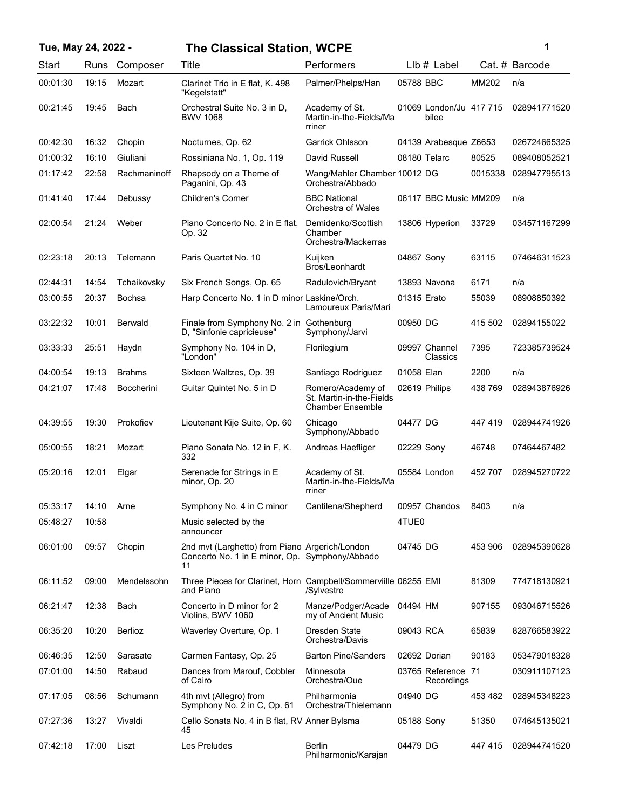| Tue, May 24, 2022 - |       |                | <b>The Classical Station, WCPE</b>                                                                     |                                                                          |               |                                  |         | 1              |
|---------------------|-------|----------------|--------------------------------------------------------------------------------------------------------|--------------------------------------------------------------------------|---------------|----------------------------------|---------|----------------|
| Start               | Runs  | Composer       | Title                                                                                                  | Performers                                                               |               | $Llb#$ Label                     |         | Cat. # Barcode |
| 00:01:30            | 19:15 | Mozart         | Clarinet Trio in E flat, K. 498<br>"Kegelstatt"                                                        | Palmer/Phelps/Han                                                        | 05788 BBC     |                                  | MM202   | n/a            |
| 00:21:45            | 19:45 | Bach           | Orchestral Suite No. 3 in D,<br><b>BWV 1068</b>                                                        | Academy of St.<br>Martin-in-the-Fields/Ma<br>rriner                      |               | 01069 London/Ju 417 715<br>bilee |         | 028941771520   |
| 00:42:30            | 16:32 | Chopin         | Nocturnes, Op. 62                                                                                      | Garrick Ohlsson                                                          |               | 04139 Arabesque Z6653            |         | 026724665325   |
| 01:00:32            | 16:10 | Giuliani       | Rossiniana No. 1, Op. 119                                                                              | David Russell                                                            | 08180 Telarc  |                                  | 80525   | 089408052521   |
| 01:17:42            | 22:58 | Rachmaninoff   | Rhapsody on a Theme of<br>Paganini, Op. 43                                                             | Wang/Mahler Chamber 10012 DG<br>Orchestra/Abbado                         |               |                                  | 0015338 | 028947795513   |
| 01:41:40            | 17:44 | Debussy        | <b>Children's Corner</b>                                                                               | <b>BBC National</b><br>Orchestra of Wales                                |               | 06117 BBC Music MM209            |         | n/a            |
| 02:00:54            | 21:24 | Weber          | Piano Concerto No. 2 in E flat.<br>Op. 32                                                              | Demidenko/Scottish<br>Chamber<br>Orchestra/Mackerras                     |               | 13806 Hyperion                   | 33729   | 034571167299   |
| 02:23:18            | 20:13 | Telemann       | Paris Quartet No. 10                                                                                   | Kuijken<br>Bros/Leonhardt                                                | 04867 Sony    |                                  | 63115   | 074646311523   |
| 02:44:31            | 14:54 | Tchaikovsky    | Six French Songs, Op. 65                                                                               | Radulovich/Bryant                                                        |               | 13893 Navona                     | 6171    | n/a            |
| 03:00:55            | 20:37 | Bochsa         | Harp Concerto No. 1 in D minor Laskine/Orch.                                                           | Lamoureux Paris/Mari                                                     | 01315 Erato   |                                  | 55039   | 08908850392    |
| 03:22:32            | 10:01 | <b>Berwald</b> | Finale from Symphony No. 2 in Gothenburg<br>D, "Sinfonie capricieuse"                                  | Symphony/Jarvi                                                           | 00950 DG      |                                  | 415 502 | 02894155022    |
| 03:33:33            | 25:51 | Haydn          | Symphony No. 104 in D,<br>"London"                                                                     | Florilegium                                                              |               | 09997 Channel<br>Classics        | 7395    | 723385739524   |
| 04:00:54            | 19:13 | <b>Brahms</b>  | Sixteen Waltzes, Op. 39                                                                                | Santiago Rodriguez                                                       | 01058 Elan    |                                  | 2200    | n/a            |
| 04:21:07            | 17:48 | Boccherini     | Guitar Quintet No. 5 in D                                                                              | Romero/Academy of<br>St. Martin-in-the-Fields<br><b>Chamber Ensemble</b> | 02619 Philips |                                  | 438 769 | 028943876926   |
| 04:39:55            | 19:30 | Prokofiev      | Lieutenant Kije Suite, Op. 60                                                                          | Chicago<br>Symphony/Abbado                                               | 04477 DG      |                                  | 447 419 | 028944741926   |
| 05:00:55            | 18:21 | Mozart         | Piano Sonata No. 12 in F, K.<br>332                                                                    | Andreas Haefliger                                                        | 02229 Sony    |                                  | 46748   | 07464467482    |
| 05:20:16            | 12:01 | Elgar          | Serenade for Strings in E<br>minor, Op. 20                                                             | Academy of St.<br>Martin-in-the-Fields/Ma<br>rriner                      | 05584 London  |                                  | 452 707 | 028945270722   |
| 05:33:17            | 14:10 | Arne           | Symphony No. 4 in C minor                                                                              | Cantilena/Shepherd                                                       |               | 00957 Chandos                    | 8403    | n/a            |
| 05:48:27            | 10:58 |                | Music selected by the<br>announcer                                                                     |                                                                          | 4TUE0         |                                  |         |                |
| 06:01:00            | 09:57 | Chopin         | 2nd mvt (Larghetto) from Piano Argerich/London<br>Concerto No. 1 in E minor, Op. Symphony/Abbado<br>11 |                                                                          | 04745 DG      |                                  | 453 906 | 028945390628   |
| 06:11:52            | 09:00 | Mendelssohn    | Three Pieces for Clarinet, Horn Campbell/Sommerviille 06255 EMI<br>and Piano                           | /Sylvestre                                                               |               |                                  | 81309   | 774718130921   |
| 06:21:47            | 12:38 | Bach           | Concerto in D minor for 2<br>Violins, BWV 1060                                                         | Manze/Podger/Acade<br>my of Ancient Music                                | 04494 HM      |                                  | 907155  | 093046715526   |
| 06:35:20            | 10:20 | Berlioz        | Waverley Overture, Op. 1                                                                               | Dresden State<br>Orchestra/Davis                                         | 09043 RCA     |                                  | 65839   | 828766583922   |
| 06:46:35            | 12:50 | Sarasate       | Carmen Fantasy, Op. 25                                                                                 | <b>Barton Pine/Sanders</b>                                               | 02692 Dorian  |                                  | 90183   | 053479018328   |
| 07:01:00            | 14:50 | Rabaud         | Dances from Marouf, Cobbler<br>of Cairo                                                                | Minnesota<br>Orchestra/Oue                                               |               | 03765 Reference 71<br>Recordings |         | 030911107123   |
| 07:17:05            | 08:56 | Schumann       | 4th mvt (Allegro) from<br>Symphony No. 2 in C, Op. 61                                                  | Philharmonia<br>Orchestra/Thielemann                                     | 04940 DG      |                                  | 453 482 | 028945348223   |
| 07:27:36            | 13:27 | Vivaldi        | Cello Sonata No. 4 in B flat, RV Anner Bylsma<br>45                                                    |                                                                          | 05188 Sony    |                                  | 51350   | 074645135021   |
| 07:42:18            | 17:00 | Liszt          | Les Preludes                                                                                           | Berlin<br>Philharmonic/Karajan                                           | 04479 DG      |                                  | 447415  | 028944741520   |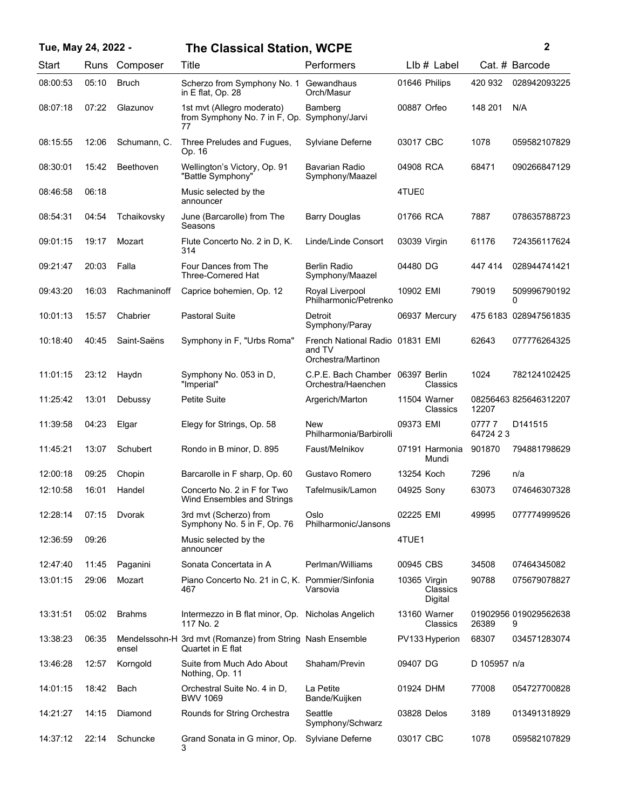| Tue, May 24, 2022 - |       |               | <b>The Classical Station, WCPE</b>                                             |                                                                 |                                     |                    | $\mathbf{2}$               |
|---------------------|-------|---------------|--------------------------------------------------------------------------------|-----------------------------------------------------------------|-------------------------------------|--------------------|----------------------------|
| Start               | Runs  | Composer      | Title                                                                          | Performers                                                      | $Llb#$ Label                        |                    | Cat. # Barcode             |
| 08:00:53            | 05:10 | <b>Bruch</b>  | Scherzo from Symphony No. 1 Gewandhaus<br>in E flat. Op. 28                    | Orch/Masur                                                      | 01646 Philips                       | 420 932            | 028942093225               |
| 08:07:18            | 07:22 | Glazunov      | 1st mvt (Allegro moderato)<br>from Symphony No. 7 in F, Op.<br>77              | Bamberg<br>Symphony/Jarvi                                       | 00887 Orfeo                         | 148 201            | N/A                        |
| 08:15:55            | 12:06 | Schumann, C.  | Three Preludes and Fugues,<br>Op. 16                                           | Sylviane Deferne                                                | 03017 CBC                           | 1078               | 059582107829               |
| 08:30:01            | 15:42 | Beethoven     | Wellington's Victory, Op. 91<br>"Battle Symphony"                              | <b>Bavarian Radio</b><br>Symphony/Maazel                        | 04908 RCA                           | 68471              | 090266847129               |
| 08:46:58            | 06:18 |               | Music selected by the<br>announcer                                             |                                                                 | 4TUE0                               |                    |                            |
| 08:54:31            | 04:54 | Tchaikovsky   | June (Barcarolle) from The<br>Seasons                                          | <b>Barry Douglas</b>                                            | 01766 RCA                           | 7887               | 078635788723               |
| 09:01:15            | 19:17 | Mozart        | Flute Concerto No. 2 in D, K.<br>314                                           | Linde/Linde Consort                                             | 03039 Virgin                        | 61176              | 724356117624               |
| 09:21:47            | 20:03 | Falla         | Four Dances from The<br>Three-Cornered Hat                                     | <b>Berlin Radio</b><br>Symphony/Maazel                          | 04480 DG                            | 447414             | 028944741421               |
| 09:43:20            | 16:03 | Rachmaninoff  | Caprice bohemien, Op. 12                                                       | Royal Liverpool<br>Philharmonic/Petrenko                        | 10902 EMI                           | 79019              | 509996790192<br>0          |
| 10:01:13            | 15:57 | Chabrier      | <b>Pastoral Suite</b>                                                          | Detroit<br>Symphony/Paray                                       | 06937 Mercury                       |                    | 475 6183 028947561835      |
| 10:18:40            | 40:45 | Saint-Saëns   | Symphony in F, "Urbs Roma"                                                     | French National Radio 01831 EMI<br>and TV<br>Orchestra/Martinon |                                     | 62643              | 077776264325               |
| 11:01:15            | 23:12 | Haydn         | Symphony No. 053 in D,<br>"Imperial"                                           | C.P.E. Bach Chamber<br>Orchestra/Haenchen                       | 06397 Berlin<br>Classics            | 1024               | 782124102425               |
| 11:25:42            | 13:01 | Debussy       | <b>Petite Suite</b>                                                            | Argerich/Marton                                                 | 11504 Warner<br>Classics            | 12207              | 08256463 825646312207      |
| 11:39:58            | 04:23 | Elgar         | Elegy for Strings, Op. 58                                                      | New<br>Philharmonia/Barbirolli                                  | 09373 EMI                           | 07777<br>64724 2 3 | D <sub>141515</sub>        |
| 11:45:21            | 13:07 | Schubert      | Rondo in B minor, D. 895                                                       | Faust/Melnikov                                                  | 07191 Harmonia<br>Mundi             | 901870             | 794881798629               |
| 12:00:18            | 09:25 | Chopin        | Barcarolle in F sharp, Op. 60                                                  | Gustavo Romero                                                  | 13254 Koch                          | 7296               | n/a                        |
| 12:10:58            | 16:01 | Handel        | Concerto No. 2 in F for Two<br>Wind Ensembles and Strings                      | Tafelmusik/Lamon                                                | 04925 Sony                          | 63073              | 074646307328               |
| 12:28:14            | 07:15 | Dvorak        | 3rd mvt (Scherzo) from<br>Symphony No. 5 in F, Op. 76                          | Oslo<br>Philharmonic/Jansons                                    | 02225 EMI                           | 49995              | 077774999526               |
| 12:36:59            | 09:26 |               | Music selected by the<br>announcer                                             |                                                                 | 4TUE1                               |                    |                            |
| 12:47:40            | 11:45 | Paganini      | Sonata Concertata in A                                                         | Perlman/Williams                                                | 00945 CBS                           | 34508              | 07464345082                |
| 13:01:15            | 29:06 | Mozart        | Piano Concerto No. 21 in C, K. Pommier/Sinfonia<br>467                         | Varsovia                                                        | 10365 Virgin<br>Classics<br>Digital | 90788              | 075679078827               |
| 13:31:51            | 05:02 | <b>Brahms</b> | Intermezzo in B flat minor, Op. Nicholas Angelich<br>117 No. 2                 |                                                                 | 13160 Warner<br>Classics            | 26389              | 01902956 019029562638<br>9 |
| 13:38:23            | 06:35 | ensel         | Mendelssohn-H 3rd mvt (Romanze) from String Nash Ensemble<br>Quartet in E flat |                                                                 | PV133 Hyperion                      | 68307              | 034571283074               |
| 13:46:28            | 12:57 | Korngold      | Suite from Much Ado About<br>Nothing, Op. 11                                   | Shaham/Previn                                                   | 09407 DG                            | D 105957 n/a       |                            |
| 14:01:15            | 18:42 | Bach          | Orchestral Suite No. 4 in D,<br><b>BWV 1069</b>                                | La Petite<br>Bande/Kuijken                                      | 01924 DHM                           | 77008              | 054727700828               |
| 14:21:27            | 14:15 | Diamond       | Rounds for String Orchestra                                                    | Seattle<br>Symphony/Schwarz                                     | 03828 Delos                         | 3189               | 013491318929               |
| 14:37:12            | 22:14 | Schuncke      | Grand Sonata in G minor, Op.<br>3                                              | Sylviane Deferne                                                | 03017 CBC                           | 1078               | 059582107829               |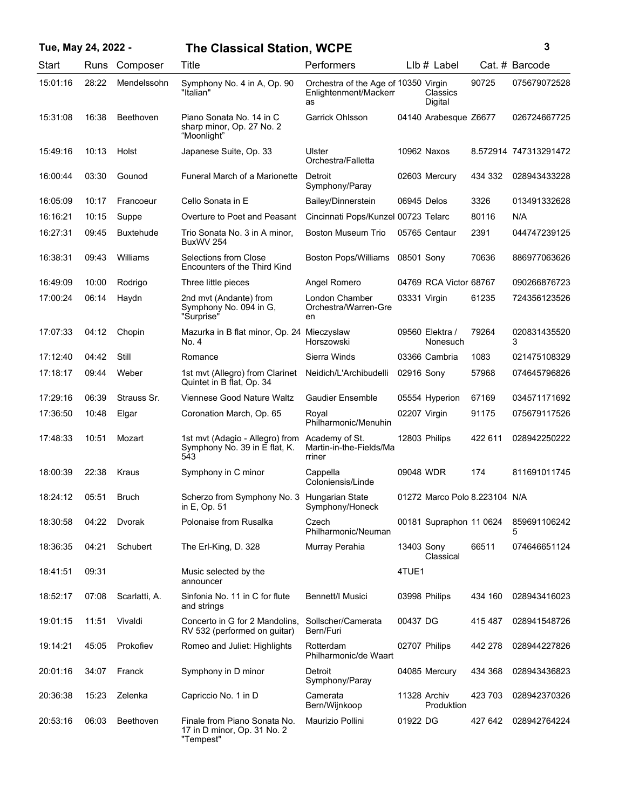| Tue, May 24, 2022 - |       |                  | <b>The Classical Station, WCPE</b>                                       |                                                                     |              |                               |         | 3                     |
|---------------------|-------|------------------|--------------------------------------------------------------------------|---------------------------------------------------------------------|--------------|-------------------------------|---------|-----------------------|
| Start               | Runs  | Composer         | Title                                                                    | Performers                                                          |              | $Llb#$ Label                  |         | Cat. # Barcode        |
| 15:01:16            | 28:22 | Mendelssohn      | Symphony No. 4 in A, Op. 90<br>"Italian"                                 | Orchestra of the Age of 10350 Virgin<br>Enlightenment/Mackerr<br>as |              | Classics<br>Digital           | 90725   | 075679072528          |
| 15:31:08            | 16:38 | <b>Beethoven</b> | Piano Sonata No. 14 in C<br>sharp minor, Op. 27 No. 2<br>"Moonlight"     | Garrick Ohlsson                                                     |              | 04140 Arabesque Z6677         |         | 026724667725          |
| 15:49:16            | 10:13 | Holst            | Japanese Suite, Op. 33                                                   | Ulster<br>Orchestra/Falletta                                        |              | 10962 Naxos                   |         | 8.572914 747313291472 |
| 16:00:44            | 03:30 | Gounod           | Funeral March of a Marionette                                            | Detroit<br>Symphony/Paray                                           |              | 02603 Mercury                 | 434 332 | 028943433228          |
| 16:05:09            | 10:17 | Francoeur        | Cello Sonata in E                                                        | Bailey/Dinnerstein                                                  | 06945 Delos  |                               | 3326    | 013491332628          |
| 16:16:21            | 10:15 | Suppe            | Overture to Poet and Peasant                                             | Cincinnati Pops/Kunzel 00723 Telarc                                 |              |                               | 80116   | N/A                   |
| 16:27:31            | 09:45 | <b>Buxtehude</b> | Trio Sonata No. 3 in A minor,<br>BuxWV 254                               | <b>Boston Museum Trio</b>                                           |              | 05765 Centaur                 | 2391    | 044747239125          |
| 16:38:31            | 09:43 | Williams         | Selections from Close<br>Encounters of the Third Kind                    | Boston Pops/Williams                                                | 08501 Sony   |                               | 70636   | 886977063626          |
| 16:49:09            | 10:00 | Rodrigo          | Three little pieces                                                      | Angel Romero                                                        |              | 04769 RCA Victor 68767        |         | 090266876723          |
| 17:00:24            | 06:14 | Haydn            | 2nd mvt (Andante) from<br>Symphony No. 094 in G,<br>"Surprise"           | London Chamber<br>Orchestra/Warren-Gre<br>en                        | 03331 Virgin |                               | 61235   | 724356123526          |
| 17:07:33            | 04:12 | Chopin           | Mazurka in B flat minor, Op. 24 Mieczyslaw<br>No. 4                      | Horszowski                                                          |              | 09560 Elektra /<br>Nonesuch   | 79264   | 020831435520<br>3     |
| 17:12:40            | 04:42 | Still            | Romance                                                                  | Sierra Winds                                                        |              | 03366 Cambria                 | 1083    | 021475108329          |
| 17:18:17            | 09:44 | Weber            | 1st mvt (Allegro) from Clarinet<br>Quintet in B flat, Op. 34             | Neidich/L'Archibudelli                                              | 02916 Sony   |                               | 57968   | 074645796826          |
| 17:29:16            | 06:39 | Strauss Sr.      | Viennese Good Nature Waltz                                               | <b>Gaudier Ensemble</b>                                             |              | 05554 Hyperion                | 67169   | 034571171692          |
| 17:36:50            | 10:48 | Elgar            | Coronation March, Op. 65                                                 | Royal<br>Philharmonic/Menuhin                                       | 02207 Virgin |                               | 91175   | 075679117526          |
| 17:48:33            | 10:51 | Mozart           | 1st mvt (Adagio - Allegro) from<br>Symphony No. 39 in E flat, K.<br>543  | Academy of St.<br>Martin-in-the-Fields/Ma<br>rriner                 |              | 12803 Philips                 | 422 611 | 028942250222          |
| 18:00:39            | 22:38 | Kraus            | Symphony in C minor                                                      | Cappella<br>Coloniensis/Linde                                       | 09048 WDR    |                               | 174     | 811691011745          |
| 18:24:12            | 05:51 | <b>Bruch</b>     | Scherzo from Symphony No. 3 Hungarian State<br>in E, Op. 51              | Symphony/Honeck                                                     |              | 01272 Marco Polo 8.223104 N/A |         |                       |
| 18:30:58            | 04:22 | Dvorak           | Polonaise from Rusalka                                                   | Czech<br>Philharmonic/Neuman                                        |              | 00181 Supraphon 11 0624       |         | 859691106242<br>5     |
| 18:36:35            | 04:21 | Schubert         | The Erl-King, D. 328                                                     | Murray Perahia                                                      | 13403 Sony   | Classical                     | 66511   | 074646651124          |
| 18:41:51            | 09:31 |                  | Music selected by the<br>announcer                                       |                                                                     | 4TUE1        |                               |         |                       |
| 18:52:17            | 07:08 | Scarlatti, A.    | Sinfonia No. 11 in C for flute<br>and strings                            | Bennett/I Musici                                                    |              | 03998 Philips                 | 434 160 | 028943416023          |
| 19:01:15            | 11:51 | Vivaldi          | Concerto in G for 2 Mandolins,<br>RV 532 (performed on guitar)           | Sollscher/Camerata<br>Bern/Furi                                     | 00437 DG     |                               | 415487  | 028941548726          |
| 19:14:21            | 45:05 | Prokofiev        | Romeo and Juliet: Highlights                                             | Rotterdam<br>Philharmonic/de Waart                                  |              | 02707 Philips                 | 442 278 | 028944227826          |
| 20:01:16            | 34:07 | Franck           | Symphony in D minor                                                      | Detroit<br>Symphony/Paray                                           |              | 04085 Mercury                 | 434 368 | 028943436823          |
| 20:36:38            | 15:23 | Zelenka          | Capriccio No. 1 in D                                                     | Camerata<br>Bern/Wijnkoop                                           |              | 11328 Archiv<br>Produktion    | 423 703 | 028942370326          |
| 20:53:16            | 06:03 | Beethoven        | Finale from Piano Sonata No.<br>17 in D minor, Op. 31 No. 2<br>"Tempest" | Maurizio Pollini                                                    | 01922 DG     |                               | 427 642 | 028942764224          |